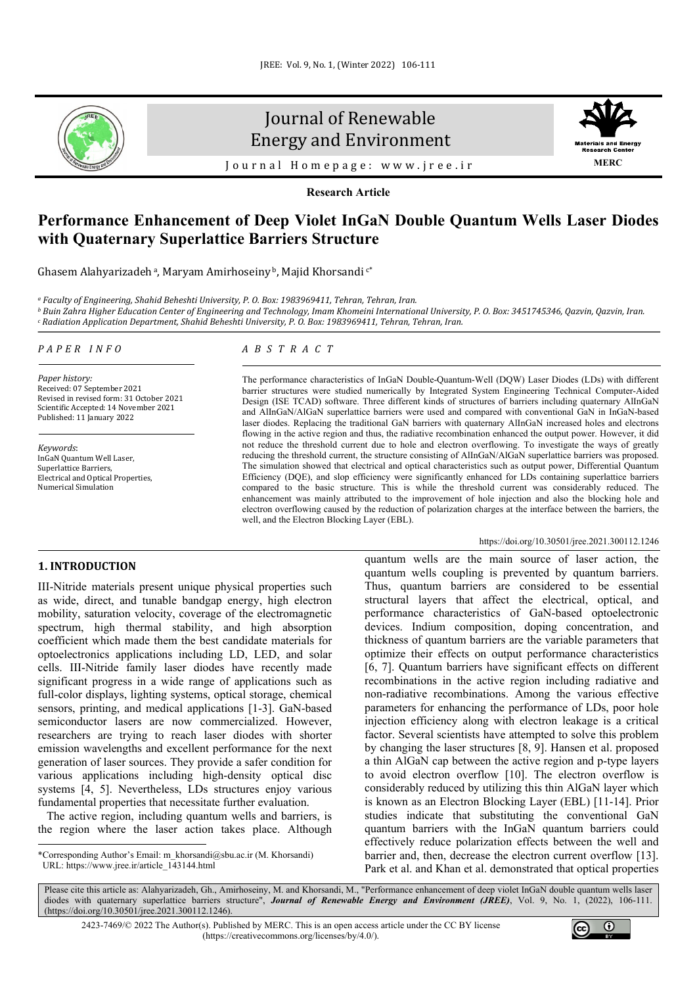

# Journal of Renewable Energy and Environment



Journal Homepage: [www.jree.ir](http://www.jree.ir/)

**Research Article**

## **Performance Enhancement of Deep Violet InGaN Double Quantum Wells Laser Diodes with Quaternary Superlattice Barriers Structure**

Ghasem Alahyarizadeh a, Maryam Amirhoseiny b, Majid Khorsandi c\*

*<sup>a</sup> Faculty of Engineering, Shahid Beheshti University, P. O. Box: 1983969411, Tehran, Tehran, Iran.*

*<sup>b</sup> Buin Zahra Higher Education Center of Engineering and Technology, Imam Khomeini International University, P. O. Box: 3451745346, Qazvin, Qazvin, Iran. <sup>c</sup> Radiation Application Department, Shahid Beheshti University, P. O. Box: 1983969411, Tehran, Tehran, Iran.*

## *PAPER INFO*

*Paper history:* Received: 07 September 2021 Revised in revised form: 31 October 2021 Scientific Accepted: 14 November 2021 Published: 11 January 2022

*Keywords*: InGaN Quantum Well Laser, Superlattice Barriers, Electrical and Optical Properties, Numerical Simulation

## *ABSTRACT*

The performance characteristics of InGaN Double-Quantum-Well (DQW) Laser Diodes (LDs) with different barrier structures were studied numerically by Integrated System Engineering Technical Computer-Aided Design (ISE TCAD) software. Three different kinds of structures of barriers including quaternary AlInGaN and AlInGaN/AlGaN superlattice barriers were used and compared with conventional GaN in InGaN-based laser diodes. Replacing the traditional GaN barriers with quaternary AlInGaN increased holes and electrons flowing in the active region and thus, the radiative recombination enhanced the output power. However, it did not reduce the threshold current due to hole and electron overflowing. To investigate the ways of greatly reducing the threshold current, the structure consisting of AlInGaN/AlGaN superlattice barriers was proposed. The simulation showed that electrical and optical characteristics such as output power, Differential Quantum Efficiency (DQE), and slop efficiency were significantly enhanced for LDs containing superlattice barriers compared to the basic structure. This is while the threshold current was considerably reduced. The enhancement was mainly attributed to the improvement of hole injection and also the blocking hole and electron overflowing caused by the reduction of polarization charges at the interface between the barriers, the well, and the Electron Blocking Layer (EBL).

#### <https://doi.org/10.30501/jree.2021.300112.1246>

## **1. INTRODUCTION[1](#page-0-0)**

III-Nitride materials present unique physical properties such as wide, direct, and tunable bandgap energy, high electron mobility, saturation velocity, coverage of the electromagnetic spectrum, high thermal stability, and high absorption coefficient which made them the best candidate materials for optoelectronics applications including LD, LED, and solar cells. III-Nitride family laser diodes have recently made significant progress in a wide range of applications such as full-color displays, lighting systems, optical storage, chemical sensors, printing, and medical applications [1-3]. GaN-based semiconductor lasers are now commercialized. However, researchers are trying to reach laser diodes with shorter emission wavelengths and excellent performance for the next generation of laser sources. They provide a safer condition for various applications including high-density optical disc systems [4, 5]. Nevertheless, LDs structures enjoy various fundamental properties that necessitate further evaluation.

 The active region, including quantum wells and barriers, is the region where the laser action takes place. Although quantum wells are the main source of laser action, the quantum wells coupling is prevented by quantum barriers. Thus, quantum barriers are considered to be essential structural layers that affect the electrical, optical, and performance characteristics of GaN-based optoelectronic devices. Indium composition, doping concentration, and thickness of quantum barriers are the variable parameters that optimize their effects on output performance characteristics [6, 7]. Quantum barriers have significant effects on different recombinations in the active region including radiative and non-radiative recombinations. Among the various effective parameters for enhancing the performance of LDs, poor hole injection efficiency along with electron leakage is a critical factor. Several scientists have attempted to solve this problem by changing the laser structures [8, 9]. Hansen et al. proposed a thin AlGaN cap between the active region and p-type layers to avoid electron overflow [10]. The electron overflow is considerably reduced by utilizing this thin AlGaN layer which is known as an Electron Blocking Layer (EBL) [11-14]. Prior studies indicate that substituting the conventional GaN quantum barriers with the InGaN quantum barriers could effectively reduce polarization effects between the well and barrier and, then, decrease the electron current overflow [13]. Park et al. and Khan et al. demonstrated that optical properties

Please cite this article as: Alahyarizadeh, Gh., Amirhoseiny, M. and Khorsandi, M., "Performance enhancement of deep violet InGaN double quantum wells laser diodes with quaternary superlattice barriers structure", *Journal of Renewable Energy and Environment (JREE)*, Vol. 9, No. 1, (2022), 106-111. [\(https://doi.org/10.30501/jree.2021.300112.1246\)](https://doi.org/10.30501/jree.2021.300112.1246).

2423-7469/© 2022 The Author(s). Published by [MERC.](https://en.merc.ac.ir/) This is an open access article under the CC BY license [\(https://creativecommons.org/licenses/by/4.0/\)](https://creativecommons.org/licenses/by/4.0/).



<span id="page-0-0"></span><sup>\*</sup>Corresponding Author's Email[: m\\_khorsandi@sbu.ac.ir](mailto:m_khorsandi@sbu.ac.ir) (M. Khorsandi) URL[: https://www.jree.ir/article\\_143144.html](https://www.jree.ir/article_143144.html)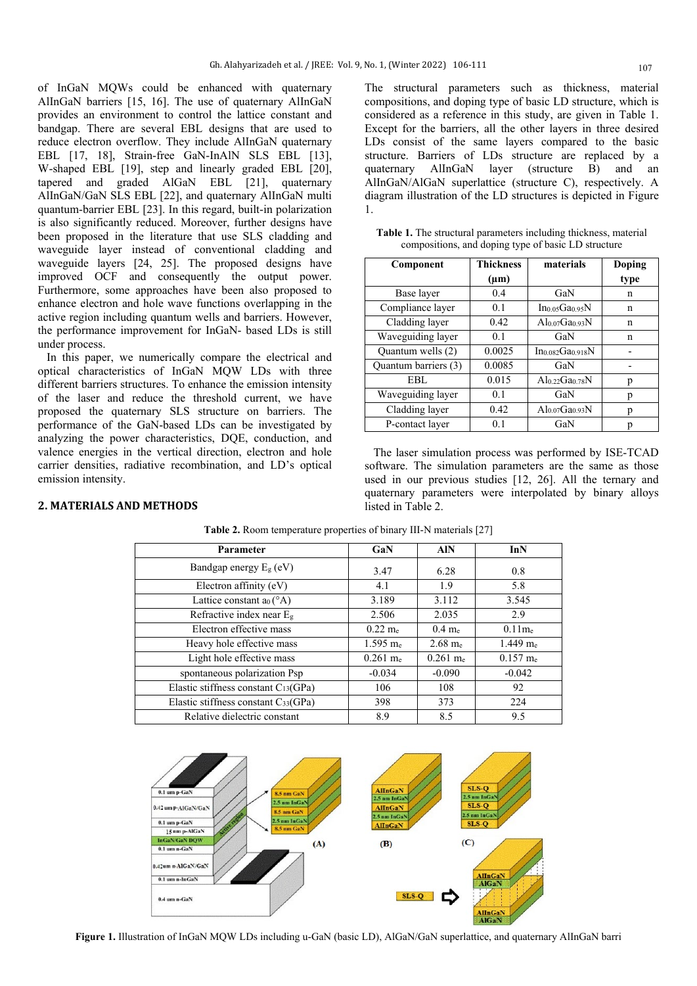of InGaN MQWs could be enhanced with quaternary AlInGaN barriers [15, 16]. The use of quaternary AlInGaN provides an environment to control the lattice constant and bandgap. There are several EBL designs that are used to reduce electron overflow. They include AlInGaN quaternary EBL [17, 18], Strain-free GaN-InAlN SLS EBL [13], W-shaped EBL [19], step and linearly graded EBL [20], tapered and graded AlGaN EBL [21], quaternary AlInGaN/GaN SLS EBL [22], and quaternary AlInGaN multi quantum-barrier EBL [23]. In this regard, built-in polarization is also significantly reduced. Moreover, further designs have been proposed in the literature that use SLS cladding and waveguide layer instead of conventional cladding and waveguide layers [24, 25]. The proposed designs have improved OCF and consequently the output power. Furthermore, some approaches have been also proposed to enhance electron and hole wave functions overlapping in the active region including quantum wells and barriers. However, the performance improvement for InGaN- based LDs is still under process.

 In this paper, we numerically compare the electrical and optical characteristics of InGaN MQW LDs with three different barriers structures. To enhance the emission intensity of the laser and reduce the threshold current, we have proposed the quaternary SLS structure on barriers. The performance of the GaN-based LDs can be investigated by analyzing the power characteristics, DQE, conduction, and valence energies in the vertical direction, electron and hole carrier densities, radiative recombination, and LD's optical emission intensity.

**2. MATERIALS AND METHODS**

The structural parameters such as thickness, material compositions, and doping type of basic LD structure, which is considered as a reference in this study, are given in Table 1. Except for the barriers, all the other layers in three desired LDs consist of the same layers compared to the basic structure. Barriers of LDs structure are replaced by a quaternary AlInGaN layer (structure B) and an AlInGaN/AlGaN superlattice (structure C), respectively. A diagram illustration of the LD structures is depicted in Figure 1.

|  | <b>Table 1.</b> The structural parameters including thickness, material |  |  |
|--|-------------------------------------------------------------------------|--|--|
|  | compositions, and doping type of basic LD structure                     |  |  |

| Component            | <b>Thickness</b> | materials                 | Doping |
|----------------------|------------------|---------------------------|--------|
|                      | $(\mu m)$        |                           | type   |
| Base layer           | 0.4              | GaN                       | n      |
| Compliance layer     | 0.1              | Ino osGao 95N             | n      |
| Cladding layer       | 0.42             | Alo $07$ Gao 93N          | n      |
| Waveguiding layer    | 0.1              | GaN                       | n      |
| Quantum wells (2)    | 0.0025           | Ino 082Gao 918N           |        |
| Quantum barriers (3) | 0.0085           | GaN                       |        |
| EBL                  | 0.015            | Alo 22Gao 78 $N$          | р      |
| Waveguiding layer    | 0.1              | GaN                       | р      |
| Cladding layer       | 0.42             | $\rm Al_{0.07}Ga_{0.93}N$ |        |
| P-contact layer      | 0.1              | GaN                       |        |

 The laser simulation process was performed by ISE-TCAD software. The simulation parameters are the same as those used in our previous studies [12, 26]. All the ternary and quaternary parameters were interpolated by binary alloys listed in Table 2.

| Parameter                                       | GaN                 | <b>AIN</b>         | InN                 |
|-------------------------------------------------|---------------------|--------------------|---------------------|
| Bandgap energy $E_g$ (eV)                       | 3.47                | 6.28               | 0.8                 |
| Electron affinity (eV)                          | 4.1                 | 1.9                | 5.8                 |
| Lattice constant $a_0$ ( $\mathrm{A}$ )         | 3.189               | 3.112              | 3.545               |
| Refractive index near $Eg$                      | 2.506               | 2.035              | 2.9                 |
| Electron effective mass                         | $0.22 \text{ m}$ e  | $0.4 \text{ m}$ e  | $0.11$ me           |
| Heavy hole effective mass                       | $1.595 \text{ m}_e$ | $2.68 \text{ m}_e$ | $1.449 \text{ m}_e$ |
| Light hole effective mass                       | $0.261$ me          | $0.261$ me         | $0.157 \text{ m}$ e |
| spontaneous polarization Psp                    | $-0.034$            | $-0.090$           | $-0.042$            |
| Elastic stiffness constant $C_{13}$ (GPa)       | 106                 | 108                | 92                  |
| Elastic stiffness constant $C_{33}(\text{GPa})$ | 398                 | 373                | 224                 |
| Relative dielectric constant                    | 8.9                 | 8.5                | 9.5                 |

**Table 2.** Room temperature properties of binary III-N materials [27]



**Figure 1.** Illustration of InGaN MQW LDs including u-GaN (basic LD), AlGaN/GaN superlattice, and quaternary AlInGaN barri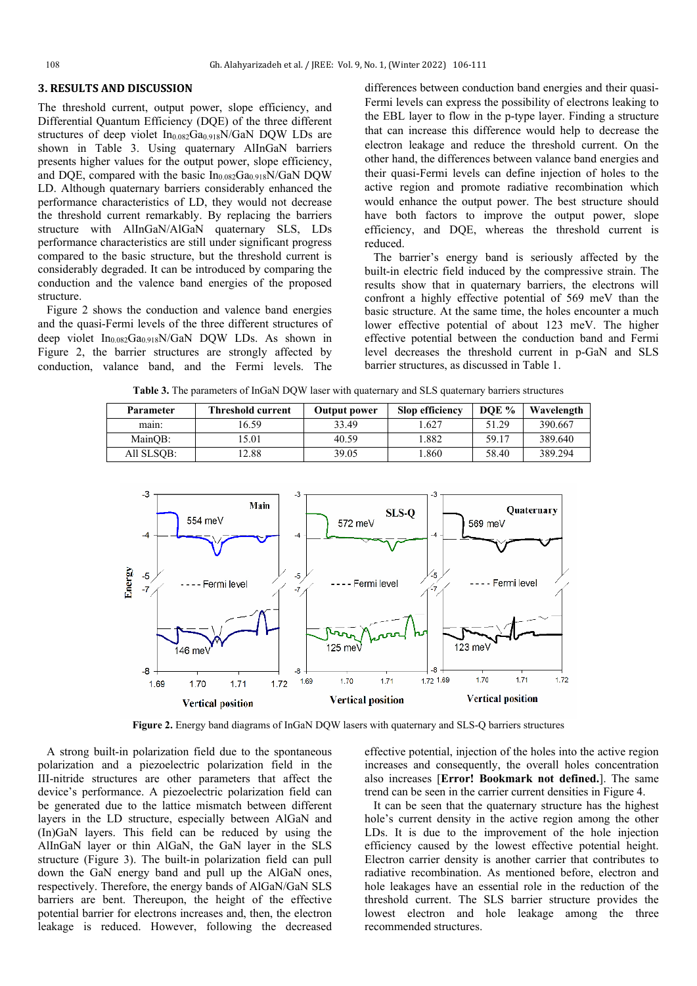### **3. RESULTS AND DISCUSSION**

The threshold current, output power, slope efficiency, and Differential Quantum Efficiency (DQE) of the three different structures of deep violet  $In<sub>0.082</sub>Ga<sub>0.918</sub>N/GaN$  DQW LDs are shown in Table 3. Using quaternary AlInGaN barriers presents higher values for the output power, slope efficiency, and DOE, compared with the basic  $In<sub>0.082</sub>Ga<sub>0.918</sub> N/GaN DOW$ LD. Although quaternary barriers considerably enhanced the performance characteristics of LD, they would not decrease the threshold current remarkably. By replacing the barriers structure with AlInGaN/AlGaN quaternary SLS, LDs performance characteristics are still under significant progress compared to the basic structure, but the threshold current is considerably degraded. It can be introduced by comparing the conduction and the valence band energies of the proposed structure.

 Figure 2 shows the conduction and valence band energies and the quasi-Fermi levels of the three different structures of deep violet  $In<sub>0.082</sub>Ga<sub>0.918</sub>N/GaN DQW LDs.$  As shown in Figure 2, the barrier structures are strongly affected by conduction, valance band, and the Fermi levels. The differences between conduction band energies and their quasi-Fermi levels can express the possibility of electrons leaking to the EBL layer to flow in the p-type layer. Finding a structure that can increase this difference would help to decrease the electron leakage and reduce the threshold current. On the other hand, the differences between valance band energies and their quasi-Fermi levels can define injection of holes to the active region and promote radiative recombination which would enhance the output power. The best structure should have both factors to improve the output power, slope efficiency, and DQE, whereas the threshold current is reduced.

 The barrier's energy band is seriously affected by the built-in electric field induced by the compressive strain. The results show that in quaternary barriers, the electrons will confront a highly effective potential of 569 meV than the basic structure. At the same time, the holes encounter a much lower effective potential of about 123 meV. The higher effective potential between the conduction band and Fermi level decreases the threshold current in p-GaN and SLS barrier structures, as discussed in Table 1.

| Parameter  | <b>Threshold current</b> | Output power | <b>Slop efficiency</b> | DOE % | Wavelength |
|------------|--------------------------|--------------|------------------------|-------|------------|
| main:      | 6.59                     | 33.49        | .627                   | 51.29 | 390.667    |
| MainOB:    | 5.01                     | 40.59        | .882                   | 59.17 | 389.640    |
| All SLSOB: | 2.88                     | 39.05        | .860                   | 58.40 | 389.294    |

**Table 3.** The parameters of InGaN DQW laser with quaternary and SLS quaternary barriers structures



**Figure 2.** Energy band diagrams of InGaN DQW lasers with quaternary and SLS-Q barriers structures

 A strong built-in polarization field due to the spontaneous polarization and a piezoelectric polarization field in the III-nitride structures are other parameters that affect the device's performance. A piezoelectric polarization field can be generated due to the lattice mismatch between different layers in the LD structure, especially between AlGaN and (In)GaN layers. This field can be reduced by using the AlInGaN layer or thin AlGaN, the GaN layer in the SLS structure (Figure 3). The built-in polarization field can pull down the GaN energy band and pull up the AlGaN ones, respectively. Therefore, the energy bands of AlGaN/GaN SLS barriers are bent. Thereupon, the height of the effective potential barrier for electrons increases and, then, the electron leakage is reduced. However, following the decreased effective potential, injection of the holes into the active region increases and consequently, the overall holes concentration also increases [**Error! Bookmark not defined.**]. The same trend can be seen in the carrier current densities in Figure 4.

 It can be seen that the quaternary structure has the highest hole's current density in the active region among the other LDs. It is due to the improvement of the hole injection efficiency caused by the lowest effective potential height. Electron carrier density is another carrier that contributes to radiative recombination. As mentioned before, electron and hole leakages have an essential role in the reduction of the threshold current. The SLS barrier structure provides the lowest electron and hole leakage among the three recommended structures.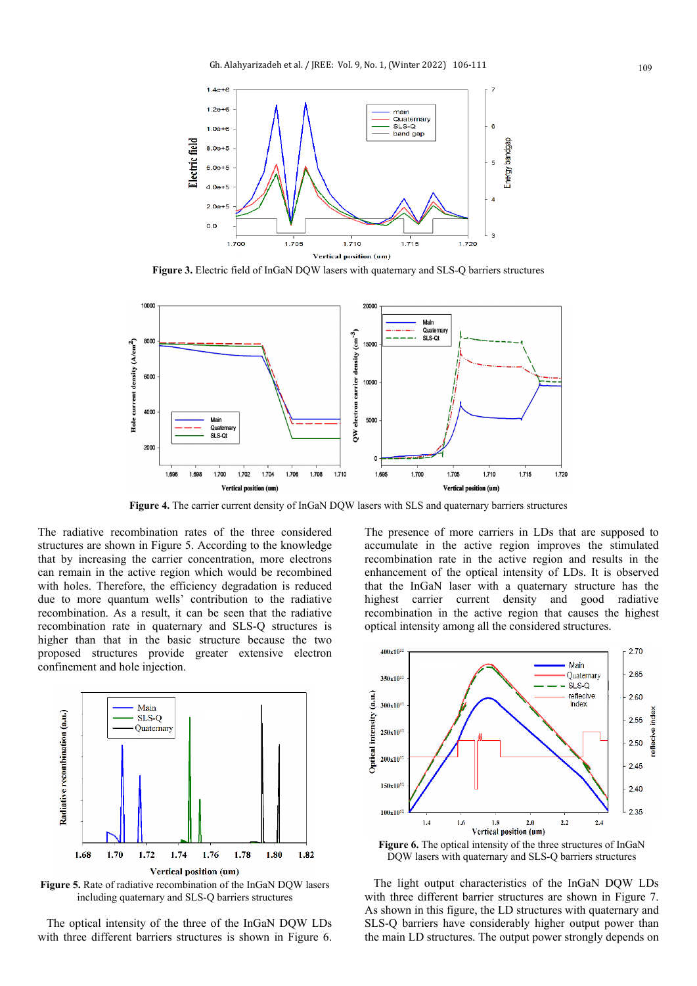

**Figure 3.** Electric field of InGaN DQW lasers with quaternary and SLS-Q barriers structures



**Figure 4.** The carrier current density of InGaN DQW lasers with SLS and quaternary barriers structures

The radiative recombination rates of the three considered structures are shown in Figure 5. According to the knowledge that by increasing the carrier concentration, more electrons can remain in the active region which would be recombined with holes. Therefore, the efficiency degradation is reduced due to more quantum wells' contribution to the radiative recombination. As a result, it can be seen that the radiative recombination rate in quaternary and SLS-Q structures is higher than that in the basic structure because the two proposed structures provide greater extensive electron confinement and hole injection.



**Figure 5.** Rate of radiative recombination of the InGaN DQW lasers including quaternary and SLS-Q barriers structures

 The optical intensity of the three of the InGaN DQW LDs with three different barriers structures is shown in Figure 6. The presence of more carriers in LDs that are supposed to accumulate in the active region improves the stimulated recombination rate in the active region and results in the enhancement of the optical intensity of LDs. It is observed that the InGaN laser with a quaternary structure has the highest carrier current density and good radiative recombination in the active region that causes the highest optical intensity among all the considered structures.



**Figure 6.** The optical intensity of the three structures of InGaN DQW lasers with quaternary and SLS-Q barriers structures

 The light output characteristics of the InGaN DQW LDs with three different barrier structures are shown in Figure 7. As shown in this figure, the LD structures with quaternary and SLS-Q barriers have considerably higher output power than the main LD structures. The output power strongly depends on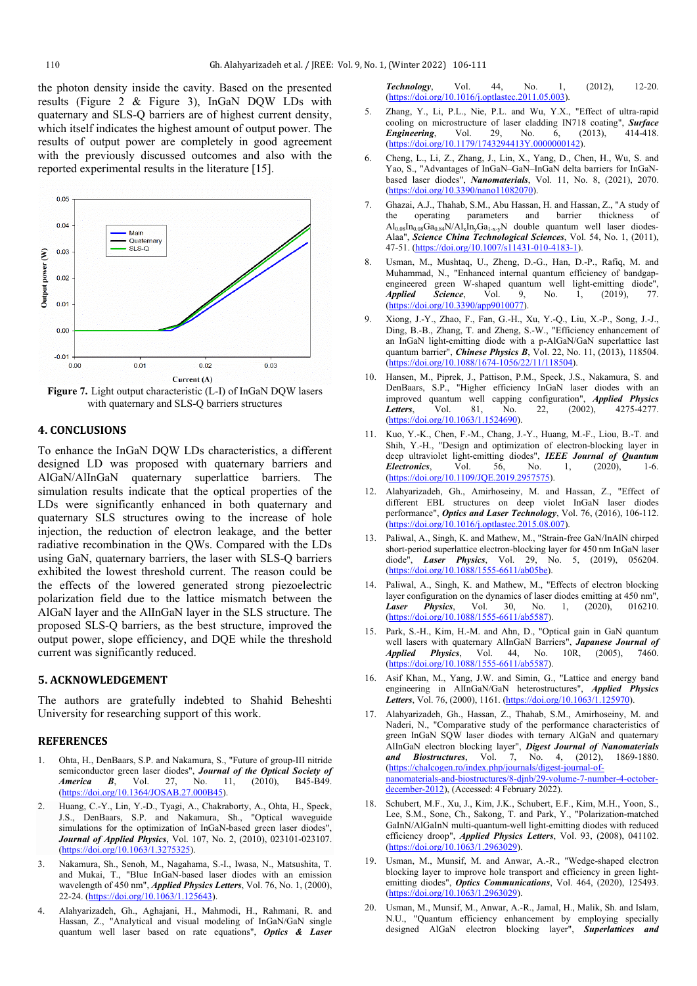the photon density inside the cavity. Based on the presented results (Figure 2 & Figure 3), InGaN DQW LDs with quaternary and SLS-Q barriers are of highest current density, which itself indicates the highest amount of output power. The results of output power are completely in good agreement with the previously discussed outcomes and also with the reported experimental results in the literature [15].



**Figure 7.** Light output characteristic (L-I) of InGaN DQW lasers with quaternary and SLS-Q barriers structures

## **4. CONCLUSIONS**

To enhance the InGaN DQW LDs characteristics, a different designed LD was proposed with quaternary barriers and AlGaN/AlInGaN quaternary superlattice barriers. The simulation results indicate that the optical properties of the LDs were significantly enhanced in both quaternary and quaternary SLS structures owing to the increase of hole injection, the reduction of electron leakage, and the better radiative recombination in the QWs. Compared with the LDs using GaN, quaternary barriers, the laser with SLS-Q barriers exhibited the lowest threshold current. The reason could be the effects of the lowered generated strong piezoelectric polarization field due to the lattice mismatch between the AlGaN layer and the AlInGaN layer in the SLS structure. The proposed SLS-Q barriers, as the best structure, improved the output power, slope efficiency, and DQE while the threshold current was significantly reduced.

## **5. ACKNOWLEDGEMENT**

The authors are gratefully indebted to Shahid Beheshti University for researching support of this work.

### **REFERENCES**

- 1. Ohta, H., DenBaars, S.P. and Nakamura, S., "Future of group-III nitride semiconductor green laser diodes", *Journal of the Optical Society of America B*, Vol. 27, No. 11, (2010), B45-B49. [\(https://doi.org/10.1364/JOSAB.27.000B45\)](https://doi.org/10.1364/JOSAB.27.000B45).
- 2. Huang, C.-Y., Lin, Y.-D., Tyagi, A., Chakraborty, A., Ohta, H., Speck, J.S., DenBaars, S.P. and Nakamura, Sh., "Optical waveguide simulations for the optimization of InGaN-based green laser diodes", *Journal of Applied Physics*, Vol. 107, No. 2, (2010), 023101-023107. [\(https://doi.org/10.1063/1.3275325\)](https://doi.org/10.1063/1.3275325).
- 3. Nakamura, Sh., Senoh, M., Nagahama, S.-I., Iwasa, N., Matsushita, T. and Mukai, T., "Blue InGaN-based laser diodes with an emission wavelength of 450 nm", *Applied Physics Letters*, Vol. 76, No. 1, (2000), 22-24. [\(https://doi.org/10.1063/1.125643\).](https://aip.scitation.org/doi/10.1063/1.125643)
- 4. Alahyarizadeh, Gh., Aghajani, H., Mahmodi, H., Rahmani, R. and Hassan, Z., "Analytical and visual modeling of InGaN/GaN single quantum well laser based on rate equations", *Optics & Laser*

*Technology*, Vol. 44, No. 1, (2012), 12-20. [\(https://doi.org/10.1016/j.optlastec.2011.05.003\)](https://www.sciencedirect.com/science/article/abs/pii/S0030399211001289?via%3Dihub).

- 5. Zhang, Y., Li, P.L., Nie, P.L. and Wu, Y.X., "Effect of ultra-rapid cooling on microstructure of laser cladding IN718 coating", *Surface Engineering*, Vol. 29, No. 6, (2013), 414-418. [\(https://doi.org/10.1179/1743294413Y.0000000142\)](https://www.tandfonline.com/doi/full/10.1179/1743294413Y.0000000142).
- 6. Cheng, L., Li, Z., Zhang, J., Lin, X., Yang, D., Chen, H., Wu, S. and Yao, S., "Advantages of InGaN–GaN–InGaN delta barriers for InGaNbased laser diodes", *Nanomaterials*, Vol. 11, No. 8, (2021), 2070. [\(https://doi.org/10.3390/nano11082070\)](https://www.mdpi.com/2079-4991/11/8/2070).
- 7. Ghazai, A.J., Thahab, S.M., Abu Hassan, H. and Hassan, Z., "A study of the operating parameters and barrier thickness of  $\text{Al}_{0.08}\text{In}_{0.08}Ga_{0.84}N/\text{Al}_{x}\text{In}_{y}Ga_{1-x-y}N$  double quantum well laser diodes-Alaa", *Science China Technological Sciences*, Vol. 54, No. 1, (2011), 47-51. [\(https://doi.org/10.1007/s11431-010-4183-1\)](https://link.springer.com/article/10.1007%2Fs11431-010-4183-1).
- 8. Usman, M., Mushtaq, U., Zheng, D.-G., Han, D.-P., Rafiq, M. and Muhammad, N., "Enhanced internal quantum efficiency of bandgapengineered green W-shaped quantum well light-emitting diode", *Applied Science*, Vol. 9, No. 1, (2019), 77. [\(https://doi.org/10.3390/app9010077\)](https://www.mdpi.com/2076-3417/9/1/77).
- 9. Xiong, J.-Y., Zhao, F., Fan, G.-H., Xu, Y.-Q., Liu, X.-P., Song, J.-J., Ding, B.-B., Zhang, T. and Zheng, S.-W., "Efficiency enhancement of an InGaN light-emitting diode with a p-AlGaN/GaN superlattice last quantum barrier", *Chinese Physics B*, Vol. 22, No. 11, (2013), 118504. [\(https://doi.org/10.1088/1674-1056/22/11/118504\)](https://iopscience.iop.org/article/10.1088/1674-1056/22/11/118504).
- 10. Hansen, M., Piprek, J., Pattison, P.M., Speck, J.S., Nakamura, S. and DenBaars, S.P., "Higher efficiency InGaN laser diodes with an improved quantum well capping configuration", *Applied Physics Letters*, Vol. 81, No. 22, (2002), 4275-4277. [\(https://doi.org/10.1063/1.1524690\)](https://aip.scitation.org/doi/10.1063/1.1524690).
- 11. Kuo, Y.-K., Chen, F.-M., Chang, J.-Y., Huang, M.-F., Liou, B.-T. and Shih, Y.-H., "Design and optimization of electron-blocking layer in deep ultraviolet light-emitting diodes", **IEEE Journal of Quantum Electronics**, Vol. 56, No. 1, (2020), 1-6. *Electronics*, Vol. 56, No. 1, (2020), 1-6. [\(https://doi.org/10.1109/JQE.2019.2957575\)](https://ieeexplore.ieee.org/document/8922638/authors#authors).
- 12. Alahyarizadeh, Gh., Amirhoseiny, M. and Hassan, Z., "Effect of different EBL structures on deep violet InGaN laser diodes performance", *Optics and Laser Technology*, Vol. 76, (2016), 106-112. [\(https://doi.org/10.1016/j.optlastec.2015.08.007\)](https://www.sciencedirect.com/science/article/abs/pii/S0030399215002303?via%3Dihub).
- 13. Paliwal, A., Singh, K. and Mathew, M., "Strain-free GaN/InAlN chirped short-period superlattice electron-blocking layer for 450 nm InGaN laser diode", *Laser Physics*, Vol. 29, No. 5, (2019), 056204. [\(https://doi.org/10.1088/1555-6611/ab05be\)](https://iopscience.iop.org/article/10.1088/1555-6611/ab05be).
- 14. Paliwal, A., Singh, K. and Mathew, M., "Effects of electron blocking layer configuration on the dynamics of laser diodes emitting at  $450 \text{ nm}^{\text{th}}$ ,<br> **Laser Physics** Vol 30 No 1, (2020), 016210. *Laser Physics*, Vol. 30, No. 1, (2020), 016210. [\(https://doi.org/10.1088/1555-6611/ab5587\)](https://iopscience.iop.org/article/10.1088/1555-6611/ab5587).
- 15. Park, S.-H., Kim, H.-M. and Ahn, D., "Optical gain in GaN quantum well lasers with quaternary AlInGaN Barriers", *Japanese Journal of Applied Physics*, Vol. 44, No. 10R, (2005), 7460. [\(https://doi.org/10.1088/1555-6611/ab5587\)](https://iopscience.iop.org/article/10.1143/JJAP.44.7460).
- 16. Asif Khan, M., Yang, J.W. and Simin, G., "Lattice and energy band engineering in AlInGaN/GaN heterostructures", *Applied Physics Letters*, Vol. 76, (2000), 1161. [\(https://doi.org/10.1063/1.125970\)](https://aip.scitation.org/doi/10.1063/1.125970).
- 17. Alahyarizadeh, Gh., Hassan, Z., Thahab, S.M., Amirhoseiny, M. and Naderi, N., "Comparative study of the performance characteristics of green InGaN SQW laser diodes with ternary AlGaN and quaternary AlInGaN electron blocking layer", *Digest Journal of Nanomaterials and Biostructures*, Vol. 7, No. 4, (2012), 1869-1880. [\(https://chalcogen.ro/index.php/journals/digest-journal-of](https://chalcogen.ro/index.php/journals/digest-journal-of-nanomaterials-and-biostructures/8-djnb/29-volume-7-number-4-october-december-2012)[nanomaterials-and-biostructures/8-djnb/29-volume-7-number-4-october](https://chalcogen.ro/index.php/journals/digest-journal-of-nanomaterials-and-biostructures/8-djnb/29-volume-7-number-4-october-december-2012)[december-2012\)](https://chalcogen.ro/index.php/journals/digest-journal-of-nanomaterials-and-biostructures/8-djnb/29-volume-7-number-4-october-december-2012), (Accessed: 4 February 2022).
- 18. Schubert, M.F., Xu, J., Kim, J.K., Schubert, E.F., Kim, M.H., Yoon, S. Lee, S.M., Sone, Ch., Sakong, T. and Park, Y., "Polarization-matched GaInN/AlGaInN multi-quantum-well light-emitting diodes with reduced efficiency droop", *Applied Physics Letters*, Vol. 93, (2008), 041102. [\(https://doi.org/10.1063/1.2963029\)](https://aip.scitation.org/doi/10.1063/1.2963029).
- Usman, M., Munsif, M. and Anwar, A.-R., "Wedge-shaped electron blocking layer to improve hole transport and efficiency in green lightemitting diodes", *Optics Communications*, Vol. 464, (2020), 125493. [\(https://doi.org/10.1063/1.2963029\)](https://www.sciencedirect.com/science/article/abs/pii/S0030401820301358?via%3Dihub).
- 20. Usman, M., Munsif, M., Anwar, A.-R., Jamal, H., Malik, Sh. and Islam, N.U., "Quantum efficiency enhancement by employing specially designed AlGaN electron blocking layer", *Superlattices and*